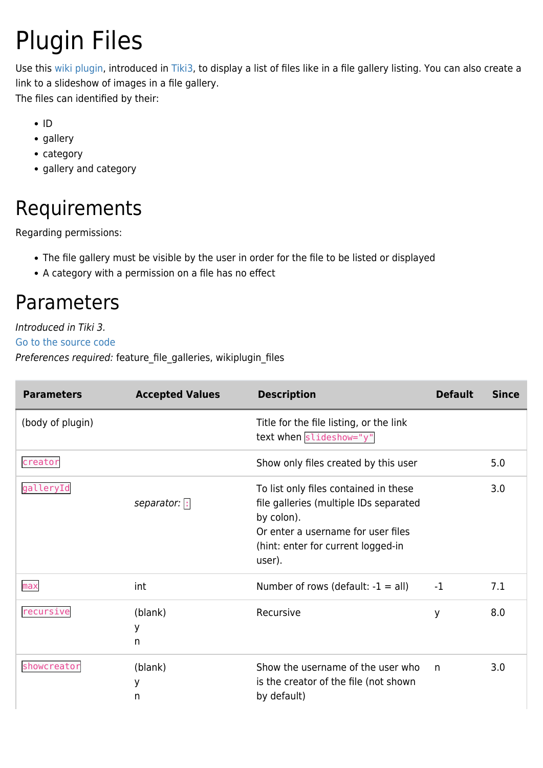# Plugin Files

Use this [wiki plugin](https://doc.tiki.org/wiki%20plugin), introduced in [Tiki3,](https://doc.tiki.org/Tiki3) to display a list of files like in a file gallery listing. You can also create a link to a slideshow of images in a file gallery. The files can identified by their:

- $\cdot$ ID
- gallery
- category
- gallery and category

# Requirements

Regarding permissions:

- The file gallery must be visible by the user in order for the file to be listed or displayed
- A category with a permission on a file has no effect

## Parameters

Introduced in Tiki 3.

[Go to the source code](https://gitlab.com/tikiwiki/tiki/-/blob/master/lib/wiki-plugins/wikiplugin_files.php)

Preferences required: feature\_file\_galleries, wikiplugin\_files

| <b>Parameters</b> | <b>Accepted Values</b> | <b>Description</b>                                                                                                                                                                  | <b>Default</b> | <b>Since</b> |
|-------------------|------------------------|-------------------------------------------------------------------------------------------------------------------------------------------------------------------------------------|----------------|--------------|
| (body of plugin)  |                        | Title for the file listing, or the link<br>text when slideshow="y"                                                                                                                  |                |              |
| creator           |                        | Show only files created by this user                                                                                                                                                |                | 5.0          |
| galleryId         | separator: :           | To list only files contained in these<br>file galleries (multiple IDs separated<br>by colon).<br>Or enter a username for user files<br>(hint: enter for current logged-in<br>user). |                | 3.0          |
| max               | int                    | Number of rows (default: $-1 = all$ )                                                                                                                                               | $-1$           | 7.1          |
| recursive         | (blank)<br>у<br>n      | Recursive                                                                                                                                                                           | y              | 8.0          |
| showcreator       | (blank)<br>У<br>n      | Show the username of the user who<br>is the creator of the file (not shown<br>by default)                                                                                           | n              | 3.0          |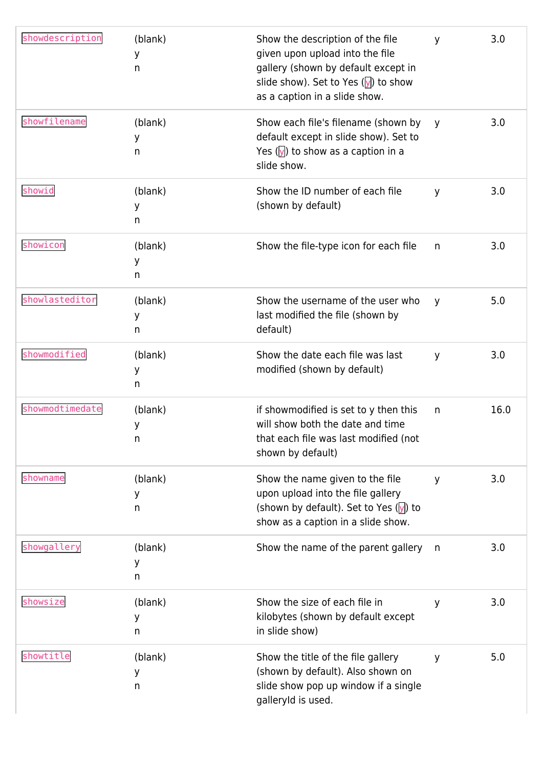| showdescription | (blank)<br>у<br>n | Show the description of the file<br>given upon upload into the file<br>gallery (shown by default except in<br>slide show). Set to Yes ( $\sqrt{y}$ ) to show<br>as a caption in a slide show. | y            | 3.0  |
|-----------------|-------------------|-----------------------------------------------------------------------------------------------------------------------------------------------------------------------------------------------|--------------|------|
| showfilename    | (blank)<br>у<br>n | Show each file's filename (shown by<br>default except in slide show). Set to<br>Yes $(y)$ to show as a caption in a<br>slide show.                                                            | y            | 3.0  |
| showid          | (blank)<br>у<br>n | Show the ID number of each file<br>(shown by default)                                                                                                                                         | y            | 3.0  |
| showicon        | (blank)<br>у<br>n | Show the file-type icon for each file                                                                                                                                                         | n            | 3.0  |
| showlasteditor  | (blank)<br>у<br>n | Show the username of the user who<br>last modified the file (shown by<br>default)                                                                                                             | y            | 5.0  |
| showmodified    | (blank)<br>у<br>n | Show the date each file was last<br>modified (shown by default)                                                                                                                               | y            | 3.0  |
| showmodtimedate | (blank)<br>у<br>n | if showmodified is set to y then this<br>will show both the date and time<br>that each file was last modified (not<br>shown by default)                                                       | n            | 16.0 |
| showname        | (blank)<br>у<br>n | Show the name given to the file<br>upon upload into the file gallery<br>(shown by default). Set to Yes $(y)$ to<br>show as a caption in a slide show.                                         | y            | 3.0  |
| showgallery     | (blank)<br>у<br>n | Show the name of the parent gallery                                                                                                                                                           | $\mathsf{n}$ | 3.0  |
| showsize        | (blank)<br>у<br>n | Show the size of each file in<br>kilobytes (shown by default except<br>in slide show)                                                                                                         | y            | 3.0  |
| showtitle       | (blank)<br>у<br>n | Show the title of the file gallery<br>(shown by default). Also shown on<br>slide show pop up window if a single<br>galleryId is used.                                                         | y            | 5.0  |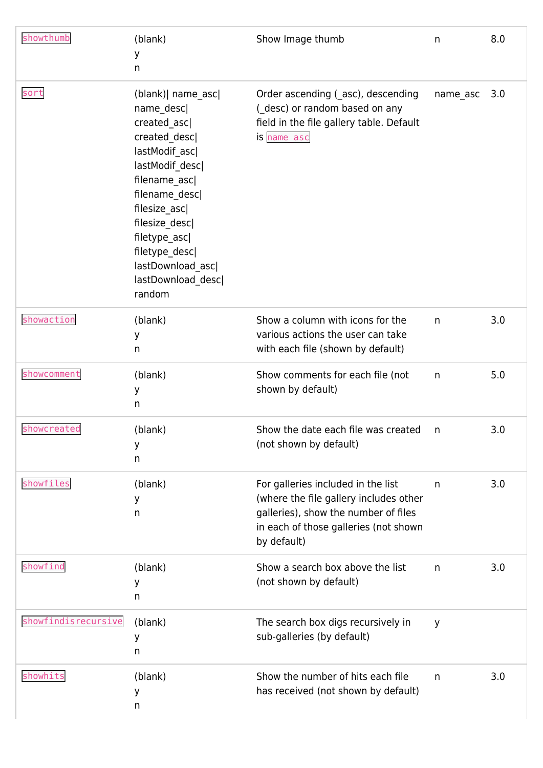| showthumb           | (blank)<br>У<br>n                                                                                                                                                                                                                                                    | Show Image thumb                                                                                                                                                             | n        | 8.0 |
|---------------------|----------------------------------------------------------------------------------------------------------------------------------------------------------------------------------------------------------------------------------------------------------------------|------------------------------------------------------------------------------------------------------------------------------------------------------------------------------|----------|-----|
| sort                | (blank)   name_asc <br>name_desc <br>created asc<br>created_desc <br>lastModif_asc <br>lastModif_desc <br>filename_asc <br>filename_desc <br>filesize_asc <br>filesize_desc <br>filetype_asc <br>filetype_desc <br>lastDownload_asc <br>lastDownload_desc <br>random | Order ascending (asc), descending<br>(_desc) or random based on any<br>field in the file gallery table. Default<br>is name_asc                                               | name_asc | 3.0 |
| showaction          | (blank)<br>У<br>n                                                                                                                                                                                                                                                    | Show a column with icons for the<br>various actions the user can take<br>with each file (shown by default)                                                                   | n        | 3.0 |
| showcomment         | (blank)<br>У<br>n                                                                                                                                                                                                                                                    | Show comments for each file (not<br>shown by default)                                                                                                                        | n        | 5.0 |
| showcreated         | (blank)<br>у<br>n                                                                                                                                                                                                                                                    | Show the date each file was created<br>(not shown by default)                                                                                                                | n        | 3.0 |
| showfiles           | (blank)<br>У<br>n                                                                                                                                                                                                                                                    | For galleries included in the list<br>(where the file gallery includes other<br>galleries), show the number of files<br>in each of those galleries (not shown<br>by default) | n        | 3.0 |
| showfind            | (blank)<br>У<br>n                                                                                                                                                                                                                                                    | Show a search box above the list<br>(not shown by default)                                                                                                                   | n        | 3.0 |
| showfindisrecursive | (blank)<br>у<br>n                                                                                                                                                                                                                                                    | The search box digs recursively in<br>sub-galleries (by default)                                                                                                             | y        |     |
| showhits            | (blank)<br>У<br>n                                                                                                                                                                                                                                                    | Show the number of hits each file<br>has received (not shown by default)                                                                                                     | n        | 3.0 |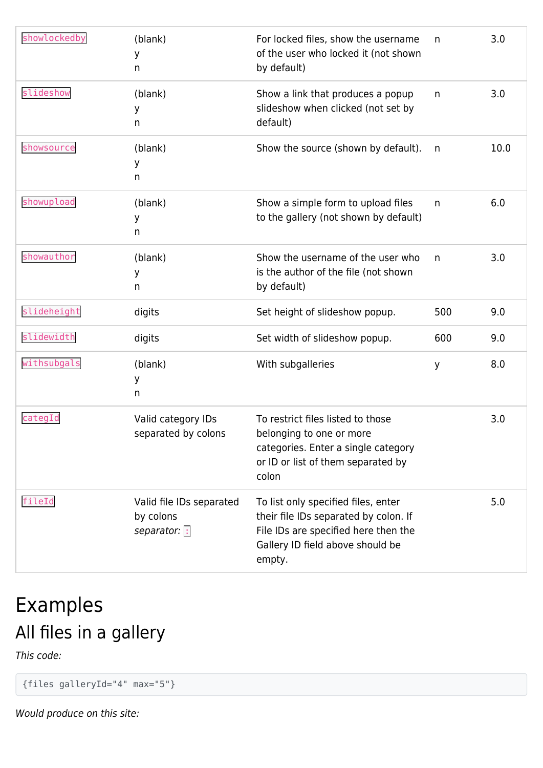| showlockedby | (blank)<br>у<br>n                                     | For locked files, show the username<br>of the user who locked it (not shown<br>by default)                                                                         | n   | 3.0  |
|--------------|-------------------------------------------------------|--------------------------------------------------------------------------------------------------------------------------------------------------------------------|-----|------|
| slideshow    | (blank)<br>у<br>n                                     | Show a link that produces a popup<br>slideshow when clicked (not set by<br>default)                                                                                | n   | 3.0  |
| showsource   | (blank)<br>у<br>n                                     | Show the source (shown by default).                                                                                                                                | n   | 10.0 |
| showupload   | (blank)<br>у<br>n                                     | Show a simple form to upload files<br>to the gallery (not shown by default)                                                                                        | n   | 6.0  |
| showauthor   | (blank)<br>у<br>n                                     | Show the username of the user who<br>is the author of the file (not shown<br>by default)                                                                           | n   | 3.0  |
| slideheight  | digits                                                | Set height of slideshow popup.                                                                                                                                     | 500 | 9.0  |
| slidewidth   | digits                                                | Set width of slideshow popup.                                                                                                                                      | 600 | 9.0  |
| withsubgals  | (blank)<br>У<br>n                                     | With subgalleries                                                                                                                                                  | y   | 8.0  |
| categId      | Valid category IDs<br>separated by colons             | To restrict files listed to those<br>belonging to one or more<br>categories. Enter a single category<br>or ID or list of them separated by<br>colon                |     | 3.0  |
| fileId       | Valid file IDs separated<br>by colons<br>separator: : | To list only specified files, enter<br>their file IDs separated by colon. If<br>File IDs are specified here then the<br>Gallery ID field above should be<br>empty. |     | 5.0  |

# Examples All files in a gallery

This code:

{files galleryId="4" max="5"}

Would produce on this site: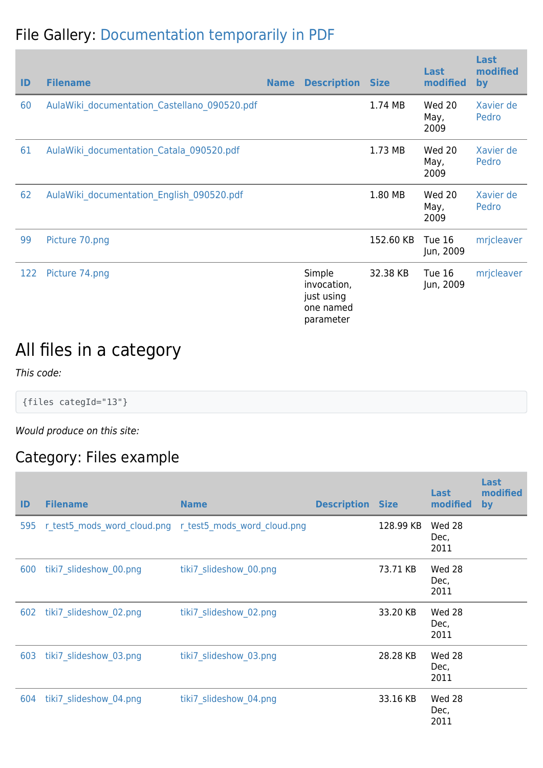#### File Gallery: [Documentation temporarily in PDF](https://doc.tiki.org/tiki-list_file_gallery.php?galleryId=4)

| ID  | <b>Filename</b>                              | <b>Name</b> | <b>Description Size</b>                                       |           | Last<br>modified       | Last<br>modified<br>by |
|-----|----------------------------------------------|-------------|---------------------------------------------------------------|-----------|------------------------|------------------------|
| 60  | AulaWiki documentation Castellano 090520.pdf |             |                                                               | 1.74 MB   | Wed 20<br>May,<br>2009 | Xavier de<br>Pedro     |
| 61  | AulaWiki documentation Catala 090520.pdf     |             |                                                               | 1.73 MB   | Wed 20<br>May,<br>2009 | Xavier de<br>Pedro     |
| 62  | AulaWiki documentation English 090520.pdf    |             |                                                               | 1.80 MB   | Wed 20<br>May,<br>2009 | Xavier de<br>Pedro     |
| 99  | Picture 70.png                               |             |                                                               | 152.60 KB | Tue 16<br>Jun, 2009    | mrjcleaver             |
| 122 | Picture 74.png                               |             | Simple<br>invocation,<br>just using<br>one named<br>parameter | 32.38 KB  | Tue 16<br>Jun, 2009    | mrjcleaver             |

## All files in a category

This code:

{files categId="13"}

Would produce on this site:

#### Category: Files example

| ID  | <b>Filename</b>        | <b>Name</b>                                             | <b>Description Size</b> |           | Last<br>modified       | Last<br>modified<br>by |
|-----|------------------------|---------------------------------------------------------|-------------------------|-----------|------------------------|------------------------|
| 595 |                        | r test5 mods word cloud.png r test5 mods word cloud.png |                         | 128.99 KB | Wed 28<br>Dec,<br>2011 |                        |
| 600 | tiki7 slideshow 00.png | tiki7 slideshow 00.png                                  |                         | 73.71 KB  | Wed 28<br>Dec,<br>2011 |                        |
| 602 | tiki7 slideshow 02.png | tiki7 slideshow 02.png                                  |                         | 33.20 KB  | Wed 28<br>Dec,<br>2011 |                        |
| 603 | tiki7_slideshow_03.png | tiki7_slideshow_03.png                                  |                         | 28.28 KB  | Wed 28<br>Dec,<br>2011 |                        |
| 604 | tiki7 slideshow 04.png | tiki7 slideshow 04.png                                  |                         | 33.16 KB  | Wed 28<br>Dec,<br>2011 |                        |